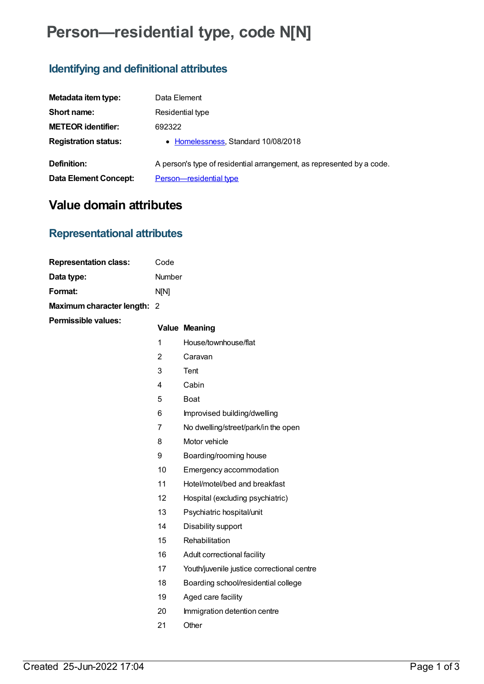# **Person—residential type, code N[N]**

### **Identifying and definitional attributes**

| Metadata item type:         | Data Element                                                          |
|-----------------------------|-----------------------------------------------------------------------|
| Short name:                 | Residential type                                                      |
| <b>METEOR identifier:</b>   | 692322                                                                |
| <b>Registration status:</b> | • Homelessness, Standard 10/08/2018                                   |
| Definition:                 | A person's type of residential arrangement, as represented by a code. |
| Data Element Concept:       | Person-residential type                                               |

## **Value domain attributes**

### **Representational attributes**

| <b>Representation class:</b> | Code           |                                            |
|------------------------------|----------------|--------------------------------------------|
| Data type:                   | Number         |                                            |
| Format:                      | N[N]           |                                            |
| Maximum character length: 2  |                |                                            |
| Permissible values:          |                | <b>Value Meaning</b>                       |
|                              | 1              | House/townhouse/flat                       |
|                              | 2              | Caravan                                    |
|                              | 3              | <b>Tent</b>                                |
|                              | 4              | Cabin                                      |
|                              | 5              | <b>Boat</b>                                |
|                              | 6              | Improvised building/dwelling               |
|                              | $\overline{7}$ | No dwelling/street/park/in the open        |
|                              | 8              | Motor vehicle                              |
|                              | 9              | Boarding/rooming house                     |
|                              | 10             | Emergency accommodation                    |
|                              | 11             | Hotel/motel/bed and breakfast              |
|                              | 12             | Hospital (excluding psychiatric)           |
|                              | 13             | Psychiatric hospital/unit                  |
|                              | 14             | Disability support                         |
|                              | 15             | Rehabilitation                             |
|                              | 16             | Adult correctional facility                |
|                              | 17             | Youth/juvenile justice correctional centre |
|                              | 18             | Boarding school/residential college        |
|                              | 19             | Aged care facility                         |
|                              | 20             | Immigration detention centre               |
|                              | 21             | Other                                      |
|                              |                |                                            |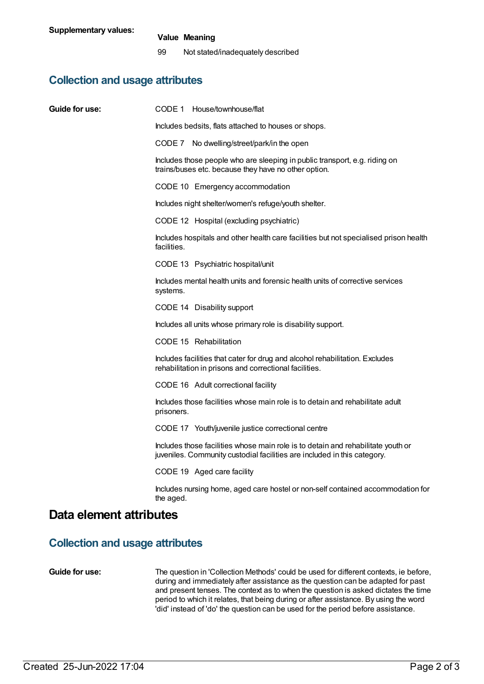### **Value Meaning**

99 Not stated/inadequately described

### **Collection and usage attributes**

| Guide for use:                         | CODE 1 House/townhouse/flat                                                                                                                                  |  |  |
|----------------------------------------|--------------------------------------------------------------------------------------------------------------------------------------------------------------|--|--|
|                                        | Includes bedsits, flats attached to houses or shops.                                                                                                         |  |  |
|                                        | CODE 7 No dwelling/street/park/in the open                                                                                                                   |  |  |
|                                        | Includes those people who are sleeping in public transport, e.g. riding on<br>trains/buses etc. because they have no other option.                           |  |  |
|                                        | CODE 10 Emergency accommodation                                                                                                                              |  |  |
|                                        | Includes night shelter/women's refuge/youth shelter.                                                                                                         |  |  |
|                                        | CODE 12 Hospital (excluding psychiatric)                                                                                                                     |  |  |
|                                        | Includes hospitals and other health care facilities but not specialised prison health<br>facilities.                                                         |  |  |
|                                        | CODE 13 Psychiatric hospital/unit                                                                                                                            |  |  |
|                                        | Includes mental health units and forensic health units of corrective services<br>systems.                                                                    |  |  |
|                                        | CODE 14 Disability support                                                                                                                                   |  |  |
|                                        | Includes all units whose primary role is disability support.                                                                                                 |  |  |
|                                        | CODE 15 Rehabilitation                                                                                                                                       |  |  |
|                                        | Includes facilities that cater for drug and alcohol rehabilitation. Excludes<br>rehabilitation in prisons and correctional facilities.                       |  |  |
|                                        | CODE 16 Adult correctional facility                                                                                                                          |  |  |
|                                        | Includes those facilities whose main role is to detain and rehabilitate adult<br>prisoners.                                                                  |  |  |
|                                        | CODE 17 Youth/juvenile justice correctional centre                                                                                                           |  |  |
|                                        | Includes those facilities whose main role is to detain and rehabilitate youth or<br>juveniles. Community custodial facilities are included in this category. |  |  |
|                                        | CODE 19 Aged care facility                                                                                                                                   |  |  |
|                                        | Includes nursing home, aged care hostel or non-self contained accommodation for<br>the aged.                                                                 |  |  |
| Data element attributes                |                                                                                                                                                              |  |  |
| <b>Collection and usage attributes</b> |                                                                                                                                                              |  |  |

**Guide for use:** The question in 'Collection Methods' could be used for different contexts, ie before, during and immediately after assistance as the question can be adapted for past and present tenses. The context as to when the question is asked dictates the time period to which it relates, that being during or after assistance. By using the word 'did' instead of 'do' the question can be used for the period before assistance.